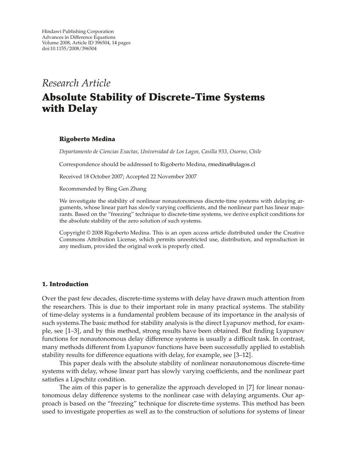# *Research Article*

# **Absolute Stability of Discrete-Time Systems with Delay**

# **Rigoberto Medina**

*Departamento de Ciencias Exactas, Universidad de Los Lagos, Casilla 933, Osorno, Chile*

Correspondence should be addressed to Rigoberto Medina, rmedina@ulagos.cl

Received 18 October 2007; Accepted 22 November 2007

Recommended by Bing Gen Zhang

We investigate the stability of nonlinear nonautonomous discrete-time systems with delaying arguments, whose linear part has slowly varying coefficients, and the nonlinear part has linear majorants. Based on the "freezing" technique to discrete-time systems, we derive explicit conditions for the absolute stability of the zero solution of such systems.

Copyright © 2008 Rigoberto Medina. This is an open access article distributed under the Creative Commons Attribution License, which permits unrestricted use, distribution, and reproduction in any medium, provided the original work is properly cited.

# **1. Introduction**

Over the past few decades, discrete-time systems with delay have drawn much attention from the researchers. This is due to their important role in many practical systems. The stability of time-delay systems is a fundamental problem because of its importance in the analysis of such systems.The basic method for stability analysis is the direct Lyapunov method, for example, see 1–3, and by this method, strong results have been obtained. But finding Lyapunov functions for nonautonomous delay difference systems is usually a difficult task. In contrast, many methods different from Lyapunov functions have been successfully applied to establish stability results for difference equations with delay, for example, see [3–12].

This paper deals with the absolute stability of nonlinear nonautonomous discrete-time systems with delay, whose linear part has slowly varying coefficients, and the nonlinear part satisfies a Lipschitz condition.

The aim of this paper is to generalize the approach developed in [7] for linear nonautonomous delay difference systems to the nonlinear case with delaying arguments. Our approach is based on the "freezing" technique for discrete-time systems. This method has been used to investigate properties as well as to the construction of solutions for systems of linear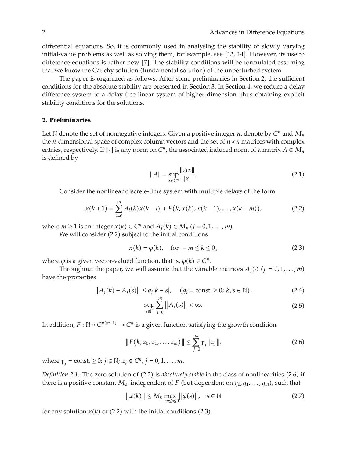differential equations. So, it is commonly used in analysing the stability of slowly varying initial-value problems as well as solving them, for example, see [13, 14]. However, its use to difference equations is rather new  $[7]$ . The stability conditions will be formulated assuming that we know the Cauchy solution (fundamental solution) of the unperturbed system.

The paper is organized as follows. After some preliminaries in Section 2, the sufficient conditions for the absolute stability are presented in Section 3. In Section 4, we reduce a delay difference system to a delay-free linear system of higher dimension, thus obtaining explicit stability conditions for the solutions.

#### **2. Preliminaries**

Let N denote the set of nonnegative integers. Given a positive integer  $n$ , denote by  $C^n$  and  $M_n$ the *n*-dimensional space of complex column vectors and the set of  $n \times n$  matrices with complex entries, respectively. If  $\|\cdot\|$  is any norm on  $C^n$ , the associated induced norm of a matrix  $A \in M_n$ is defined by

$$
||A|| = \sup_{x \in C^n} \frac{||Ax||}{||x||}.
$$
 (2.1)

Consider the nonlinear discrete-time system with multiple delays of the form

$$
x(k+1) = \sum_{l=0}^{m} A_l(k)x(k-l) + F(k, x(k), x(k-1), \dots, x(k-m)),
$$
 (2.2)

where  $m \ge 1$  is an integer  $x(k) \in C^n$  and  $A_i(k) \in M_n$   $(j = 0, 1, \ldots, m)$ .

We will consider (2.2) subject to the initial conditions

$$
x(k) = \varphi(k), \quad \text{for } -m \le k \le 0,
$$
\n<sup>(2.3)</sup>

where  $\varphi$  is a given vector-valued function, that is,  $\varphi(k) \in C^n$ .

Throughout the paper, we will assume that the variable matrices  $A_i(\cdot)$  ( $i = 0, 1, \ldots, m$ ) have the properties

$$
||A_j(k) - A_j(s)|| \le q_j |k - s|, \quad (q_j = \text{const.} \ge 0; k, s \in \mathbb{N}),
$$
 (2.4)

$$
\sup_{s \in \mathbb{N}} \sum_{j=0}^{m} \|A_j(s)\| < \infty. \tag{2.5}
$$

In addition,  $F : \mathbb{N} \times C^{n(m+1)} \to C^n$  is a given function satisfying the growth condition

$$
||F(k, z_0, z_1, \dots, z_m)|| \le \sum_{j=0}^m r_j ||z_j||,
$$
\n(2.6)

where  $\gamma_i = \text{const.} \geq 0; j \in \mathbb{N}; z_j \in C^n, j = 0, 1, ..., m.$ 

*Definition 2.1.* The zero solution of (2.2) is *absolutely stable* in the class of nonlinearities (2.6) if there is a positive constant  $M_0$ , independent of *F* (but dependent on  $q_0, q_1, \ldots, q_m$ ), such that

$$
\|x(k)\| \le M_0 \max_{-m \le s \le 0} \|\varphi(s)\|, \quad s \in \mathbb{N} \tag{2.7}
$$

for any solution  $x(k)$  of (2.2) with the initial conditions (2.3).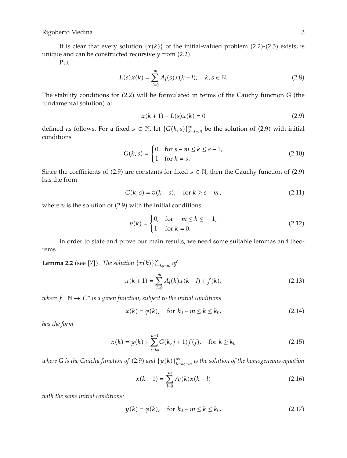It is clear that every solution  $\{x(k)\}\$  of the initial-valued problem (2.2)-(2.3) exists, is unique and can be constructed recursively from  $(2.2)$ .

Put

$$
L(s)x(k) = \sum_{l=0}^{m} A_l(s)x(k-l); \quad k, s \in \mathbb{N}.
$$
 (2.8)

The stability conditions for (2.2) will be formulated in terms of the Cauchy function *G* (the fundamental solution) of

$$
x(k+1) - L(s)x(k) = 0
$$
\n(2.9)

defined as follows. For a fixed *s* ∈ N, let  $\{G(k, s)\}_{k=s-m}^{\infty}$  be the solution of (2.9) with initial conditions

$$
G(k, s) = \begin{cases} 0 & \text{for } s - m \le k \le s - 1, \\ 1 & \text{for } k = s. \end{cases}
$$
 (2.10)

Since the coefficients of (2.9) are constants for fixed  $s \in \mathbb{N}$ , then the Cauchy function of (2.9) has the form

$$
G(k, s) = v(k - s), \quad \text{for } k \ge s - m,
$$
\n
$$
(2.11)
$$

where  $v$  is the solution of  $(2.9)$  with the initial conditions

$$
v(k) = \begin{cases} 0, & \text{for } -m \le k \le -1, \\ 1 & \text{for } k = 0. \end{cases}
$$
 (2.12)

In order to state and prove our main results, we need some suitable lemmas and theorems.

**Lemma 2.2** (see [7]). *The solution*  $\{x(k)\}_{k=k_0-m}^{\infty}$  *of* 

$$
x(k+1) = \sum_{l=0}^{m} A_l(k)x(k-l) + f(k),
$$
\n(2.13)

*where*  $f : \mathbb{N} \to \mathbb{C}^n$  *is a given function, subject to the initial conditions* 

$$
x(k) = \varphi(k), \quad \text{for } k_0 - m \le k \le k_0,
$$
\n
$$
(2.14)
$$

*has the form*

$$
x(k) = y(k) + \sum_{j=k_0}^{k-1} G(k, j+1) f(j), \quad \text{for } k \ge k_0
$$
 (2.15)

*where G is the Cauchy function of* 2.9 *and* {*yk*}∞ *<sup>k</sup>k*0−*<sup>m</sup> is the solution of the homogeneous equation*

$$
x(k+1) = \sum_{l=0}^{m} A_l(k)x(k-l)
$$
 (2.16)

*with the same initial conditions:*

$$
y(k) = \varphi(k)
$$
, for  $k_0 - m \le k \le k_0$ . (2.17)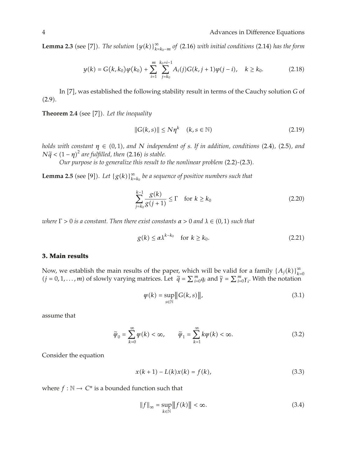**Lemma 2.3** (see [7]). The solution  $\{y(k)\}_{k=k_0-m}^{\infty}$  of (2.16) with initial conditions (2.14) has the form

$$
y(k) = G(k, k_0)\varphi(k_0) + \sum_{i=1}^{m} \sum_{j=k_0}^{k_0+i-1} A_i(j)G(k, j+1)\varphi(j-i), \quad k \ge k_0.
$$
 (2.18)

In [7], was established the following stability result in terms of the Cauchy solution *G* of  $(2.9).$ 

**Theorem 2.4** (see [7]). Let the inequality

$$
||G(k,s)|| \le N\eta^k \quad (k,s \in \mathbb{N})
$$
\n(2.19)

*holds with constant*  $\eta \in (0,1)$ *, and N independent* of *s. If in addition, conditions* (2.4)*,* (2.5)*, and*  $N\tilde{q} < (1 - \eta)^2$  are fulfilled, then (2.16) is stable.<br>*Our nurnose is to generalize this result to* 

*Our purpose is to generalize this result to the nonlinear problem (2.2)-(2.3).* 

**Lemma 2.5** (see [9]). Let  ${g(k)}_{k=k_0}^{\infty}$  be a sequence of positive numbers such that

$$
\sum_{j=k_0}^{k-1} \frac{g(k)}{g(j+1)} \le \Gamma \quad \text{for } k \ge k_0 \tag{2.20}
$$

*where*  $Γ > 0$  *is a constant. Then there exist constants*  $α > 0$  *and*  $λ ∈ (0,1)$  *such that* 

$$
g(k) \le \alpha \lambda^{k-k_0} \quad \text{for } k \ge k_0. \tag{2.21}
$$

#### **3. Main results**

Now, we establish the main results of the paper, which will be valid for a family  $\{A_j(k)\}_{k=0}^{\infty}$ <br>(*j* = 0,1,...,*m*) of slowly varying matrices. Let  $\tilde{q} = \sum_{i=0}^{m} q_i$  and  $\tilde{\gamma} = \sum_{i=0}^{m} \gamma_i$ . With the notation

$$
\psi(k) = \sup_{s \in \mathbb{N}} \|G(k, s)\|,\tag{3.1}
$$

assume that

$$
\widetilde{\psi}_0 = \sum_{k=0}^{\infty} \psi(k) < \infty, \qquad \widetilde{\psi}_1 = \sum_{k=1}^{\infty} k \psi(k) < \infty. \tag{3.2}
$$

Consider the equation

$$
x(k+1) - L(k)x(k) = f(k),
$$
\n(3.3)

where  $f : \mathbb{N} \to \mathbb{C}^n$  is a bounded function such that

$$
||f||_{\infty} = \sup_{k \in \mathbb{N}} ||f(k)|| < \infty.
$$
 (3.4)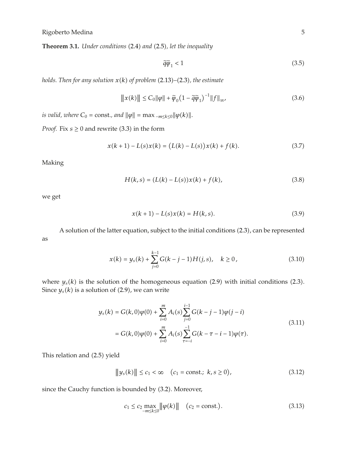**Theorem 3.1.** *Under conditions* (2.4) and (2.5), let the inequality

$$
\tilde{q}\tilde{\psi}_1 < 1\tag{3.5}
$$

*holds. Then for any solution*  $x(k)$  *of problem* (2.13)–(2.3), the estimate

$$
||x(k)|| \le C_0 ||\varphi|| + \tilde{\varphi}_0 \left(1 - \tilde{q}\tilde{\varphi}_1\right)^{-1} ||f||_{\infty},
$$
\n(3.6)

*is valid, where*  $C_0 = \text{const.}$ *, and*  $\|\varphi\| = \max_{-m \leq k \leq 0} \|\varphi(k)\|.$ 

*Proof.* Fix  $s \geq 0$  and rewrite (3.3) in the form

$$
x(k+1) - L(s)x(k) = (L(k) - L(s))x(k) + f(k).
$$
 (3.7)

Making

$$
H(k,s) = (L(k) - L(s))x(k) + f(k),
$$
\n(3.8)

we get

$$
x(k+1) - L(s)x(k) = H(k, s).
$$
 (3.9)

A solution of the latter equation, subject to the initial conditions (2.3), can be represented as

$$
x(k) = y_s(k) + \sum_{j=0}^{k-1} G(k-j-1)H(j,s), \quad k \ge 0,
$$
\n(3.10)

where  $y_s(k)$  is the solution of the homogeneous equation (2.9) with initial conditions (2.3). Since  $y_s(k)$  is a solution of (2.9), we can write

$$
y_s(k) = G(k,0)\varphi(0) + \sum_{i=0}^{m} A_i(s) \sum_{j=0}^{i-1} G(k-j-1)\varphi(j-i)
$$
  
=  $G(k,0)\varphi(0) + \sum_{i=0}^{m} A_i(s) \sum_{\tau=-i}^{-1} G(k-\tau-i-1)\varphi(\tau).$  (3.11)

This relation and (2.5) yield

$$
||y_s(k)|| \le c_1 < \infty \quad (c_1 = \text{const.}; \ k, s \ge 0), \tag{3.12}
$$

since the Cauchy function is bounded by (3.2). Moreover,

$$
c_1 \le c_2 \max_{-m \le k \le 0} \|\varphi(k)\| \quad (c_2 = \text{const.}).
$$
 (3.13)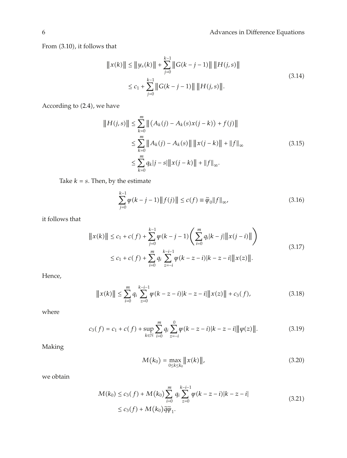From  $(3.10)$ , it follows that

$$
||x(k)|| \le ||y_s(k)|| + \sum_{j=0}^{k-1} ||G(k - j - 1)|| ||H(j, s)||
$$
  

$$
\le c_1 + \sum_{j=0}^{k-1} ||G(k - j - 1)|| ||H(j, s)||.
$$
 (3.14)

According to (2.4), we have

$$
||H(j,s)|| \leq \sum_{k=0}^{m} ||(A_k(j) - A_k(s)x(j-k)) + f(j)||
$$
  
\n
$$
\leq \sum_{k=0}^{m} ||A_k(j) - A_k(s)|| ||x(j-k)|| + ||f||_{\infty}
$$
\n
$$
\leq \sum_{k=0}^{m} q_k |j-s| ||x(j-k)|| + ||f||_{\infty}.
$$
\n(3.15)

Take  $k = s$ . Then, by the estimate

$$
\sum_{j=0}^{k-1} \psi(k-j-1) \|f(j)\| \le c(f) \equiv \tilde{\psi}_0 \|f\|_{\infty},
$$
\n(3.16)

it follows that

$$
||x(k)|| \le c_1 + c(f) + \sum_{j=0}^{k-1} \psi(k-j-1) \left( \sum_{i=0}^{m} q_i |k-j| ||x(j-i)|| \right)
$$
  
 
$$
\le c_1 + c(f) + \sum_{i=0}^{m} q_i \sum_{z=-i}^{k-i-1} \psi(k-z-i) |k-z-i||x(z)||.
$$
 (3.17)

Hence,

$$
||x(k)|| \le \sum_{i=0}^{m} q_i \sum_{z=0}^{k-i-1} \psi(k-z-i)|k-z-i|| |x(z)|| + c_3(f), \qquad (3.18)
$$

where

$$
c_3(f) = c_1 + c(f) + \sup_{k \in \mathbb{N}} \sum_{i=0}^{m} q_i \sum_{z=-i}^{0} \psi(k - z - i) |k - z - i| \|\varphi(z)\|.
$$
 (3.19)

Making

$$
M(k_0) = \max_{0 \le k \le k_0} ||x(k)||, \tag{3.20}
$$

we obtain

$$
M(k_0) \le c_3(f) + M(k_0) \sum_{i=0}^{m} q_i \sum_{z=0}^{k-i-1} \psi(k-z-i)|k-z-i|
$$
  
 
$$
\le c_3(f) + M(k_0)\tilde{q}\tilde{\psi}_1.
$$
 (3.21)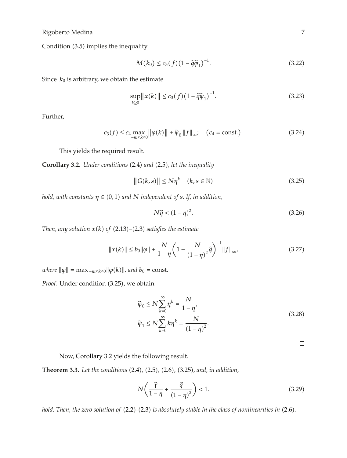Condition (3.5) implies the inequality

$$
M(k_0) \le c_3(f) \left(1 - \tilde{q}\tilde{\psi}_1\right)^{-1}.\tag{3.22}
$$

Since  $k_0$  is arbitrary, we obtain the estimate

$$
\sup_{k\geq 0} \|x(k)\| \leq c_3(f) \left(1 - \tilde{q}\tilde{\psi}_1\right)^{-1}.
$$
\n(3.23)

Further,

$$
c_3(f) \le c_4 \max_{-m \le k \le 0} \left\| \varphi(k) \right\| + \widetilde{\varphi}_0 \left\| f \right\|_{\infty}; \quad \text{(} c_4 = \text{const.}\text{)}. \tag{3.24}
$$

This yields the required result.

**Corollary 3.2.** *Under conditions* (2.4) and (2.5), let the inequality

$$
||G(k,s)|| \le N\eta^k \quad (k,s \in \mathbb{N})
$$
\n(3.25)

*hold, with constants*  $\eta \in (0,1)$  *and N independent of s. If, in addition,* 

$$
N\tilde{q} < (1 - \eta)^2. \tag{3.26}
$$

*Then, any solution*  $x(k)$  *of*  $(2.13)$ – $(2.3)$  *satisfies the estimate* 

$$
||x(k)|| \le b_0 ||\varphi|| + \frac{N}{1-\eta} \left(1 - \frac{N}{(1-\eta)^2} \tilde{q}\right)^{-1} ||f||_{\infty},
$$
\n(3.27)

 $where \|\varphi\| = \max_{-m \le k \le 0} \|\varphi(k)\|$ , and  $b_0 = \text{const.}$ 

Proof. Under condition (3.25), we obtain

$$
\widetilde{\varphi}_0 \le N \sum_{k=0}^{\infty} \eta^k = \frac{N}{1 - \eta'},
$$
\n
$$
\widetilde{\varphi}_1 \le N \sum_{k=0}^{\infty} k \eta^k = \frac{N}{(1 - \eta)^2}.
$$
\n(3.28)

 $\overline{\phantom{a}}$ 

Now, Corollary 3.2 yields the following result.

**Theorem 3.3.** *Let the conditions* 2.4*,* 2.5*,* 2.6*,* 3.25*, and, in addition,*

$$
N\left(\frac{\tilde{\gamma}}{1-\eta}+\frac{\tilde{q}}{(1-\eta)^2}\right)<1.\tag{3.29}
$$

*hold. Then, the zero solution of* (2.2)-(2.3) *is absolutely stable in the class of nonlinearities in* (2.6).

 $\Box$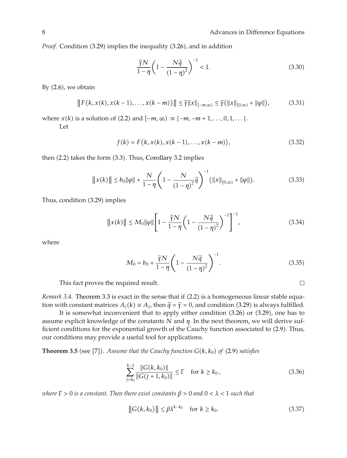*Proof.* Condition (3.29) implies the inequality (3.26), and in addition

$$
\frac{\widetilde{\gamma}N}{1-\eta} \left(1 - \frac{N\widetilde{q}}{(1-\eta)^2}\right)^{-1} < 1. \tag{3.30}
$$

By  $(2.6)$ , we obtain

$$
||F(k, x(k), x(k-1), \dots, x(k-m))|| \leq \tilde{\gamma} ||x||_{[-m,\infty)} \leq \tilde{\gamma} (||x||_{[0,\infty)} + ||\varphi||),
$$
 (3.31)

where *x(k)* is a solution of (2.2) and  $[-m, \infty) := \{-m, -m+1, \ldots, 0, 1, \ldots\}$ .

Let

$$
f(k) = F(k, x(k), x(k-1), \dots, x(k-m)),
$$
\n(3.32)

then  $(2.2)$  takes the form  $(3.3)$ . Thus, Corollary 3.2 implies

$$
||x(k)|| \le b_0 ||\varphi|| + \frac{N}{1-\eta} \left(1 - \frac{N}{(1-\eta)^2} \tilde{q}\right)^{-1} (||x||_{[0,\infty)} + ||\varphi||). \tag{3.33}
$$

Thus, condition (3.29) implies

$$
||x(k)|| \le M_0 ||\varphi|| \left[ 1 - \frac{\tilde{\gamma} N}{1 - \eta} \left( 1 - \frac{N\tilde{q}}{(1 - \eta)^2} \right)^{-1} \right]^{-1},
$$
\n(3.34)

where

$$
M_0 = b_0 + \frac{\tilde{\gamma} N}{1 - \eta} \left( 1 - \frac{N\tilde{q}}{(1 - \eta)^2} \right)^{-1}.
$$
 (3.35)

This fact proves the required result.

*Remark 3.4.* Theorem 3.3 is exact in the sense that if (2.2) is a homogeneous linear stable equation with constant matrices  $A_i(k) \equiv A_i$ , then  $\tilde{q} = \tilde{\gamma} = 0$ , and condition (3.29) is always fulfilled.

It is somewhat inconvenient that to apply either condition  $(3.26)$  or  $(3.29)$ , one has to assume explicit knowledge of the constants *N* and *η*. In the next theorem, we will derive sufficient conditions for the exponential growth of the Cauchy function associated to  $(2.9)$ . Thus, our conditions may provide a useful tool for applications.

**Theorem 3.5** (see [7]). Assume that the Cauchy function  $G(k, k_0)$  of (2.9) satisfies

$$
\sum_{j=k_0}^{k-1} \frac{\|G(k, k_0)\|}{\|G(j+1, k_0)\|} \le \Gamma \quad \text{for } k \ge k_0,
$$
\n(3.36)

*where*  $Γ > 0$  *is a constant. Then there exist constants*  $β > 0$  *and*  $0 < λ < 1$  *such that* 

$$
||G(k, k_0)|| \le \beta \lambda^{k - k_0} \quad \text{for } k \ge k_0. \tag{3.37}
$$

 $\Box$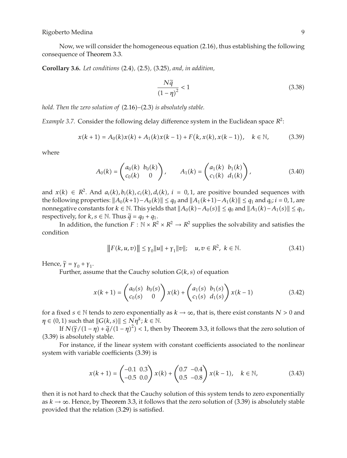Now, we will consider the homogeneous equation (2.16), thus establishing the following consequence of Theorem 3.3.

**Corollary 3.6.** *Let conditions* (2.4), (2.5), (3.25), and, in addition,

$$
\frac{N\tilde{q}}{\left(1-\eta\right)^2} < 1\tag{3.38}
$$

*hold. Then the zero solution of*  $(2.16)–(2.3)$  *is absolutely stable.* 

*Example 3.7.* Consider the following delay difference system in the Euclidean space  $R^2$ :

$$
x(k+1) = A_0(k)x(k) + A_1(k)x(k-1) + F(k, x(k), x(k-1)), \quad k \in \mathbb{N},
$$
 (3.39)

where

$$
A_0(k) = \begin{pmatrix} a_0(k) & b_0(k) \\ c_0(k) & 0 \end{pmatrix}, \qquad A_1(k) = \begin{pmatrix} a_1(k) & b_1(k) \\ c_1(k) & d_1(k) \end{pmatrix}, \tag{3.40}
$$

and  $x(k) \in R^2$ . And  $a_i(k)$ ,  $b_i(k)$ ,  $c_i(k)$ ,  $d_i(k)$ ,  $i = 0, 1$ , are positive bounded sequences with the following properties:  $||A_0(k+1) - A_0(k)|| \le q_0$  and  $||A_1(k+1) - A_1(k)|| \le q_1$  and  $q_i$ ; *i* = 0, 1, are nonnegative constants for  $k \in \mathbb{N}$ . This yields that  $||A_0(k) - A_0(s)|| \leq q_0$  and  $||A_1(k) - A_1(s)|| \leq q_1$ , respectively, for  $k, s \in \mathbb{N}$ . Thus  $\tilde{q} = q_0 + q_1$ .

In addition, the function  $F : \mathbb{N} \times \mathbb{R}^2 \times \mathbb{R}^2 \to \mathbb{R}^2$  supplies the solvability and satisfies the condition

$$
||F(k, u, v)|| \leq \gamma_0 ||u|| + \gamma_1 ||v||; \quad u, v \in R^2, \ k \in \mathbb{N}.
$$
 (3.41)

Hence,  $\tilde{\gamma} = \gamma_0 + \gamma_1$ .

Further, assume that the Cauchy solution  $G(k, s)$  of equation

$$
x(k+1) = \begin{pmatrix} a_0(s) & b_0(s) \\ c_0(s) & 0 \end{pmatrix} x(k) + \begin{pmatrix} a_1(s) & b_1(s) \\ c_1(s) & d_1(s) \end{pmatrix} x(k-1)
$$
 (3.42)

for a fixed *s*  $\in$  N tends to zero exponentially as  $k \to \infty$ , that is, there exist constants  $N > 0$  and  $\eta \in (0,1)$  such that  $||G(k, s)|| \leq N \eta^k$ ;  $k \in \mathbb{N}$ .

If  $N(\tilde{\gamma}/(1-\eta) + \tilde{q}/(1-\eta)^2) < 1$ , then by Theorem 3.3, it follows that the zero solution of 3.39 is absolutely stable.

For instance, if the linear system with constant coefficients associated to the nonlinear system with variable coefficients  $(3.39)$  is

$$
x(k+1) = \begin{pmatrix} -0.1 & 0.3 \\ -0.5 & 0.0 \end{pmatrix} x(k) + \begin{pmatrix} 0.7 & -0.4 \\ 0.5 & -0.8 \end{pmatrix} x(k-1), \quad k \in \mathbb{N},
$$
 (3.43)

then it is not hard to check that the Cauchy solution of this system tends to zero exponentially as  $k \to \infty$ . Hence, by Theorem 3.3, it follows that the zero solution of (3.39) is absolutely stable provided that the relation (3.29) is satisfied.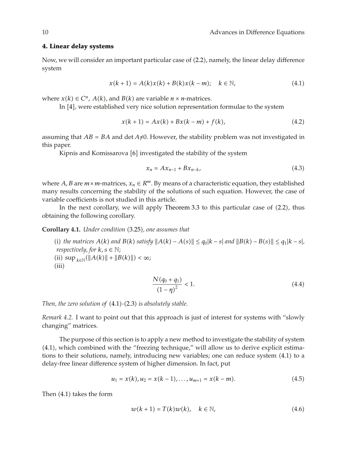#### **4. Linear delay systems**

Now, we will consider an important particular case of (2.2), namely, the linear delay difference system

$$
x(k+1) = A(k)x(k) + B(k)x(k-m); \quad k \in \mathbb{N},
$$
\n(4.1)

where  $x(k) \in C^n$ ,  $A(k)$ , and  $B(k)$  are variable  $n \times n$ -matrices.

In  $[4]$ , were established very nice solution representation formulae to the system

$$
x(k+1) = Ax(k) + Bx(k-m) + f(k),
$$
\n(4.2)

assuming that  $AB = BA$  and det  $A \neq 0$ . However, the stability problem was not investigated in this paper.

Kipnis and Komissarova [6] investigated the stability of the system

$$
x_n = Ax_{n-1} + Bx_{n-k}, \tag{4.3}
$$

where *A*, *B* are  $m \times m$ -matrices,  $x_n \in R^m$ . By means of a characteristic equation, they established many results concerning the stability of the solutions of such equation. However, the case of variable coefficients is not studied in this article.

In the next corollary, we will apply Theorem 3.3 to this particular case of  $(2.2)$ , thus obtaining the following corollary.

**Corollary 4.1.** *Under condition* (3.25), *one assumes that* 

(i) the matrices  $A(k)$  and  $B(k)$  satisfy  $||A(k) - A(s)|| \le q_0 |k - s|$  and  $||B(k) - B(s)|| \le q_1 |k - s|$ , *respectively, for*  $k, s \in \mathbb{N}$ ;  $\lim_{k \in \mathbb{N}} (\|A(k)\| + \|B(k)\|) < \infty;$  $(iii)$ 

$$
\frac{N(q_0 + q_1)}{(1 - \eta)^2} < 1. \tag{4.4}
$$

*Then, the zero solution of*  $(4.1)-(2.3)$  *is absolutely stable.* 

*Remark 4.2.* I want to point out that this approach is just of interest for systems with "slowly changing" matrices.

The purpose of this section is to apply a new method to investigate the stability of system 4.1, which combined with the "freezing technique," will allow us to derive explicit estimations to their solutions, namely, introducing new variables; one can reduce system (4.1) to a delay-free linear difference system of higher dimension. In fact, put

$$
u_1 = x(k), u_2 = x(k-1), \dots, u_{m+1} = x(k-m). \tag{4.5}
$$

Then  $(4.1)$  takes the form

$$
w(k+1) = T(k)w(k), \quad k \in \mathbb{N}, \tag{4.6}
$$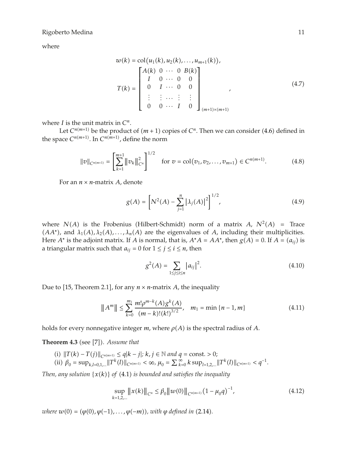where

$$
w(k) = col(u_1(k), u_2(k), \dots, u_{m+1}(k)),
$$
  
\n
$$
T(k) = \begin{bmatrix} A(k) & 0 & \cdots & 0 & B(k) \\ I & 0 & \cdots & 0 & 0 \\ 0 & I & \cdots & 0 & 0 \\ \vdots & \vdots & \cdots & \vdots & \vdots \\ 0 & 0 & \cdots & I & 0 \end{bmatrix}_{(m+1)\times(m+1)}
$$
 (4.7)

where *I* is the unit matrix in *Cn.*

Let  $C^{n(m+1)}$  be the product of  $(m + 1)$  copies of  $C^n$ . Then we can consider (4.6) defined in the space  $C^{n(m+1)}$ . In  $C^{n(m+1)}$ , define the norm

$$
||v||_{C^{n(m+1)}} = \left[\sum_{k=1}^{m+1} ||v_k||_{C^n}^2\right]^{1/2} \quad \text{for } v = \text{col}(v_1, v_2, \dots, v_{m+1}) \in C^{n(m+1)}.
$$
 (4.8)

For an  $n \times n$ -matrix *A*, denote

$$
g(A) = \left[ N^2(A) - \sum_{j=1}^n |\lambda_j(A)|^2 \right]^{1/2},\tag{4.9}
$$

where  $N(A)$  is the Frobenius (Hilbert-Schmidt) norm of a matrix  $A$ ,  $N^2(A)$  = Trace  $(AA<sup>*</sup>)$ , and  $\lambda_1(A), \lambda_2(A), \ldots, \lambda_n(A)$  are the eigenvalues of *A*, including their multiplicities. Here *A*<sup>∗</sup> is the adjoint matrix. If *A* is normal, that is,  $A^*A = AA^*$ , then  $g(A) = 0$ . If  $A = (a_{ij})$  is a triangular matrix such that  $a_{ij} = 0$  for  $1 \le j \le i \le n$ , then

$$
g^{2}(A) = \sum_{1 \le j \le i \le n} |a_{ij}|^{2}.
$$
 (4.10)

Due to [15, Theorem 2.1], for any  $n \times n$ -matrix *A*, the inequality

$$
||A^m|| \le \sum_{k=0}^{m_1} \frac{m! \rho^{m-k}(A) g^k(A)}{(m-k)!(k!)^{3/2}}, \quad m_1 = \min\{n-1, m\}
$$
 (4.11)

holds for every nonnegative integer  $m$ , where  $\rho(A)$  is the spectral radius of  $A$ .

**Theorem 4.3** (see [7]). Assume that

*(i)*  $||T(k) - T(j)||_{C^{n(m+1)}} \le q|k - j|; k, j \in \mathbb{N}$  and  $q = \text{const.} > 0;$ (ii)  $\beta_0 = \sup_{k,l=0,1,...} ||T^k(l)||_{C^{n(m+1)}} < \infty$ ,  $\mu_0 = \sum_{k=0}^{\infty} k \sup_{l=1,2,...} ||T^k(l)||_{C^{n(m+1)}} < q^{-1}$ .

*Then, any solution*  $\{x(k)\}\$  *of* (4.1) *is bounded and satisfies the inequality* 

$$
\sup_{k=1,2,...} ||x(k)||_{C^n} \le \beta_0 ||w(0)||_{C^{n(m+1)}} (1 - \mu_0 q)^{-1},
$$
\n(4.12)

*where*  $w(0) = (\varphi(0), \varphi(-1), \ldots, \varphi(-m))$ , with  $\varphi$  defined in (2.14).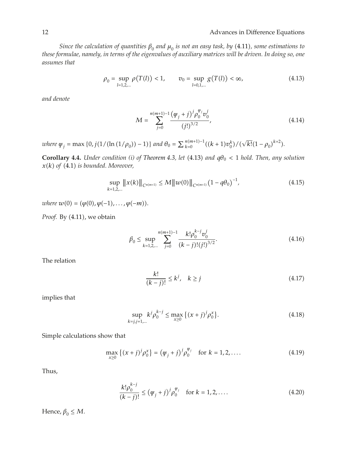*Since the calculation of quantities*  $\beta_0$  *and*  $\mu_0$  *is not an easy task, by* (4.11), *some estimations to these formulae, namely, in terms of the eigenvalues of auxiliary matrices will be driven. In doing so, one assumes that*

$$
\rho_0 = \sup_{l=1,2,...} \rho(T(l)) < 1, \qquad v_0 = \sup_{l=0,1,...} g(T(l)) < \infty,\tag{4.13}
$$

*and denote*

$$
M = \sum_{j=0}^{n(m+1)-1} \frac{(\varphi_j + j)^j \rho_0^{\varphi_j} v_0^j}{(j!)^{3/2}},
$$
\n(4.14)

*where*  $\psi_j = \max\{0, j(1/(\ln(1/\rho_0)) - 1)\}\$  and  $\theta_0 = \sum_{k=0}^{n(m+1)-1}((k+1)v_0^k)/(\sqrt{k!}(1-\rho_0)^{k+2}).$ 

**Corollary 4.4.** *Under condition (i) of Theorem 4.3, let* (4.13) and  $q\theta_0 < 1$  *hold. Then, any solution*  $x(k)$  of  $(4.1)$  *is bounded. Moreover,* 

$$
\sup_{k=1,2,...} ||x(k)||_{C^{n(m+1)}} \le M ||w(0)||_{C^{n(m+1)}} (1 - q\theta_0)^{-1},
$$
\n(4.15)

 $where \ w(0) = (\varphi(0), \varphi(-1), \ldots, \varphi(-m)).$ 

Proof. By  $(4.11)$ , we obtain

$$
\beta_0 \le \sup_{k=1,2,\dots} \sum_{j=0}^{n(m+1)-1} \frac{k! \rho_0^{k-j} v_0^j}{(k-j)!(j!)^{3/2}}.
$$
\n(4.16)

The relation

$$
\frac{k!}{(k-j)!} \le k^j, \quad k \ge j \tag{4.17}
$$

implies that

$$
\sup_{k=j,j+1,\dots} k^j \rho_0^{k-j} \le \max_{x\ge 0} \left\{ (x+j)^j \rho_0^x \right\}. \tag{4.18}
$$

Simple calculations show that

$$
\max_{x \ge 0} \left\{ (x+j)^j \rho_0^x \right\} = \left( \psi_j + j \right)^j \rho_0^{\psi_j} \quad \text{for } k = 1, 2, \dots \tag{4.19}
$$

Thus,

$$
\frac{k!\rho_0^{k-j}}{(k-j)!} \le (\psi_j + j)^j \rho_0^{\psi_j} \quad \text{for } k = 1, 2, .... \tag{4.20}
$$

Hence,  $\beta_0 \leq M$ .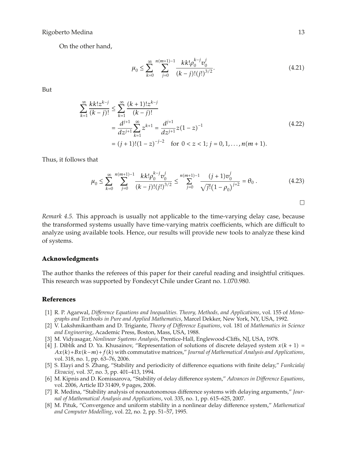On the other hand,

$$
\mu_0 \le \sum_{k=0}^{\infty} \sum_{j=0}^{n(m+1)-1} \frac{k k! \rho_0^{k-j} v_0^j}{(k-j)! (j!)^{3/2}}.
$$
\n(4.21)

But

$$
\sum_{k=1}^{\infty} \frac{k k! z^{k-j}}{(k-j)!} \le \sum_{k=1}^{\infty} \frac{(k+1)! z^{k-j}}{(k-j)!}
$$
\n
$$
= \frac{d^{j+1}}{dz^{j+1}} \sum_{k=1}^{\infty} z^{k+1} = \frac{d^{j+1}}{dz^{j+1}} z (1-z)^{-1}
$$
\n
$$
= (j+1)! (1-z)^{-j-2} \quad \text{for } 0 < z < 1; j = 0, 1, ..., n(m+1).
$$
\n(4.22)

Thus, it follows that

$$
\mu_0 \le \sum_{k=0}^{\infty} \sum_{j=0}^{n(m+1)-1} \frac{k k! \rho_0^{k-j} v_0^j}{(k-j)! (j!)^{3/2}} \le \sum_{j=0}^{n(m+1)-1} \frac{(j+1) v_0^j}{\sqrt{j!} (1-\rho_0)^{j+2}} = \theta_0.
$$
\n(4.23)

 $\Box$ 

*Remark 4.5.* This approach is usually not applicable to the time-varying delay case, because the transformed systems usually have time-varying matrix coefficients, which are difficult to analyze using available tools. Hence, our results will provide new tools to analyze these kind of systems.

#### **Acknowledgments**

The author thanks the referees of this paper for their careful reading and insightful critiques. This research was supported by Fondecyt Chile under Grant no. 1.070.980.

#### **References**

- 1 R. P. Agarwal, *Difference Equations and Inequalities. Theory, Methods, and Applications*, vol. 155 of *Monographs and Textbooks in Pure and Applied Mathematics*, Marcel Dekker, New York, NY, USA, 1992.
- 2 V. Lakshmikantham and D. Trigiante, *Theory of Difference Equations*, vol. 181 of *Mathematics in Science and Engineering*, Academic Press, Boston, Mass, USA, 1988.
- 3 M. Vidyasagar, *Nonlinear Syatems Analysis*, Prentice-Hall, Englewood-Cliffs, NJ, USA, 1978.
- [4] J. Diblík and D. Ya. Khusainov, "Representation of solutions of discrete delayed system  $x(k + 1) =$ *Ax*(*k*) + *Bx*(*k*−*m*) + *f*(*k*) with commutative matrices," *Journal of Mathematical Analysis and Applications*, vol. 318, no. 1, pp. 63–76, 2006.
- 5 S. Elayi and S. Zhang, "Stability and periodicity of difference equations with finite delay," *Funkcialaj Ekvacioj*, vol. 37, no. 3, pp. 401–413, 1994.
- 6 M. Kipnis and D. Komissarova, "Stability of delay difference system," *Advances in Difference Equations*, vol. 2006, Article ID 31409, 9 pages, 2006.
- 7 R. Medina, "Stability analysis of nonautonomous difference systems with delaying arguments," *Journal of Mathematical Analysis and Applications*, vol. 335, no. 1, pp. 615–625, 2007.
- 8 M. Pituk, "Convergence and uniform stability in a nonlinear delay difference system," *Mathematical and Computer Modelling*, vol. 22, no. 2, pp. 51–57, 1995.